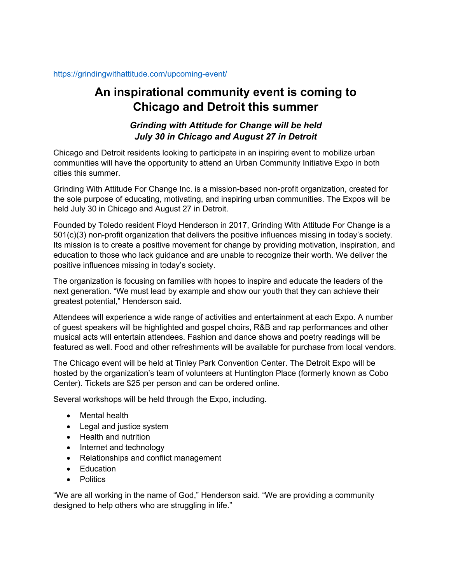## **An inspirational community event is coming to Chicago and Detroit this summer**

## *Grinding with Attitude for Change will be held July 30 in Chicago and August 27 in Detroit*

Chicago and Detroit residents looking to participate in an inspiring event to mobilize urban communities will have the opportunity to attend an Urban Community Initiative Expo in both cities this summer.

Grinding With Attitude For Change Inc. is a mission-based non-profit organization, created for the sole purpose of educating, motivating, and inspiring urban communities. The Expos will be held July 30 in Chicago and August 27 in Detroit.

Founded by Toledo resident Floyd Henderson in 2017, Grinding With Attitude For Change is a 501(c)(3) non-profit organization that delivers the positive influences missing in today's society. Its mission is to create a positive movement for change by providing motivation, inspiration, and education to those who lack guidance and are unable to recognize their worth. We deliver the positive influences missing in today's society.

The organization is focusing on families with hopes to inspire and educate the leaders of the next generation. "We must lead by example and show our youth that they can achieve their greatest potential," Henderson said.

Attendees will experience a wide range of activities and entertainment at each Expo. A number of guest speakers will be highlighted and gospel choirs, R&B and rap performances and other musical acts will entertain attendees. Fashion and dance shows and poetry readings will be featured as well. Food and other refreshments will be available for purchase from local vendors.

The Chicago event will be held at Tinley Park Convention Center. The Detroit Expo will be hosted by the organization's team of volunteers at Huntington Place (formerly known as Cobo Center). Tickets are \$25 per person and can be ordered online.

Several workshops will be held through the Expo, including.

- Mental health
- Legal and justice system
- Health and nutrition
- Internet and technology
- Relationships and conflict management
- Education
- Politics

"We are all working in the name of God," Henderson said. "We are providing a community designed to help others who are struggling in life."